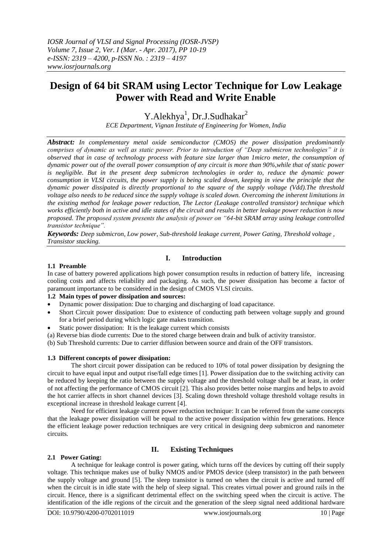# **Design of 64 bit SRAM using Lector Technique for Low Leakage Power with Read and Write Enable**

Y.Alekhya<sup>1</sup>, Dr.J.Sudhakar<sup>2</sup>

*ECE Department, Vignan Institute of Engineering for Women, India*

*Abstract: In complementary metal oxide semiconductor (CMOS) the power dissipation predominantly comprises of dynamic as well as static power. Prior to introduction of "Deep submicron technologies" it is observed that in case of technology process with feature size larger than 1micro meter, the consumption of dynamic power out of the overall power consumption of any circuit is more than 90%,while that of static power is negligible. But in the present deep submicron technologies in order to, reduce the dynamic power consumption in VLSI circuits, the power supply is being scaled down, keeping in view the principle that the dynamic power dissipated is directly proportional to the square of the supply voltage (Vdd).The threshold voltage also needs to be reduced since the supply voltage is scaled down. Overcoming the inherent limitations in the existing method for leakage power reduction, The Lector (Leakage controlled transistor) technique which works efficiently both in active and idle states of the circuit and results in better leakage power reduction is now proposed. The proposed system presents the analysis of power on "64-bit SRAM array using leakage controlled transistor technique".*

*Keywords: Deep submicron, Low power, Sub-threshold leakage current, Power Gating, Threshold voltage , Transistor stacking.*

## **I. Introduction**

#### **1.1 Preamble**

In case of battery powered applications high power consumption results in reduction of battery life, increasing cooling costs and affects reliability and packaging. As such, the power dissipation has become a factor of paramount importance to be considered in the design of CMOS VLSI circuits.

#### **1.2 Main types of power dissipation and sources:**

- Dynamic power dissipation: Due to charging and discharging of load capacitance.
- Short Circuit power dissipation: Due to existence of conducting path between voltage supply and ground for a brief period during which logic gate makes transition.
- Static power dissipation: It is the leakage current which consists
- (a) Reverse bias diode currents: Due to the stored charge between drain and bulk of activity transistor.

(b) Sub Threshold currents: Due to carrier diffusion between source and drain of the OFF transistors.

#### **1.3 Different concepts of power dissipation:**

The short circuit power dissipation can be reduced to 10% of total power dissipation by designing the circuit to have equal input and output rise/fall edge times [1]. Power dissipation due to the switching activity can be reduced by keeping the ratio between the supply voltage and the threshold voltage shall be at least, in order of not affecting the performance of CMOS circuit [2]. This also provides better noise margins and helps to avoid the hot carrier affects in short channel devices [3]. Scaling down threshold voltage threshold voltage results in exceptional increase in threshold leakage current [4].

Need for efficient leakage current power reduction technique: It can be referred from the same concepts that the leakage power dissipation will be equal to the active power dissipation within few generations. Hence the efficient leakage power reduction techniques are very critical in designing deep submicron and nanometer circuits.

## **II. Existing Techniques**

#### **2.1 Power Gating:**

A technique for leakage control is power gating, which turns off the devices by cutting off their supply voltage. This technique makes use of bulky NMOS and/or PMOS device (sleep transistor) in the path between the supply voltage and ground [5]. The sleep transistor is turned on when the circuit is active and turned off when the circuit is in idle state with the help of sleep signal. This creates virtual power and ground rails in the circuit. Hence, there is a significant detrimental effect on the switching speed when the circuit is active. The identification of the idle regions of the circuit and the generation of the sleep signal need additional hardware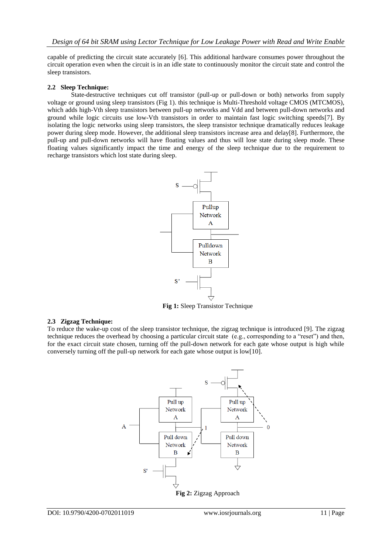capable of predicting the circuit state accurately [6]. This additional hardware consumes power throughout the circuit operation even when the circuit is in an idle state to continuously monitor the circuit state and control the sleep transistors.

#### **2.2 Sleep Technique:**

State-destructive techniques cut off transistor (pull-up or pull-down or both) networks from supply voltage or ground using sleep transistors (Fig 1). this technique is Multi-Threshold voltage CMOS (MTCMOS), which adds high-Vth sleep transistors between pull-up networks and Vdd and between pull-down networks and ground while logic circuits use low-Vth transistors in order to maintain fast logic switching speeds[7]. By isolating the logic networks using sleep transistors, the sleep transistor technique dramatically reduces leakage power during sleep mode. However, the additional sleep transistors increase area and delay[8]. Furthermore, the pull-up and pull-down networks will have floating values and thus will lose state during sleep mode. These floating values significantly impact the time and energy of the sleep technique due to the requirement to recharge transistors which lost state during sleep.



**Fig 1:** Sleep Transistor Technique

#### **2.3 Zigzag Technique:**

To reduce the wake-up cost of the sleep transistor technique, the zigzag technique is introduced [9]. The zigzag technique reduces the overhead by choosing a particular circuit state (e.g., corresponding to a "reset") and then, for the exact circuit state chosen, turning off the pull-down network for each gate whose output is high while conversely turning off the pull-up network for each gate whose output is low[10].

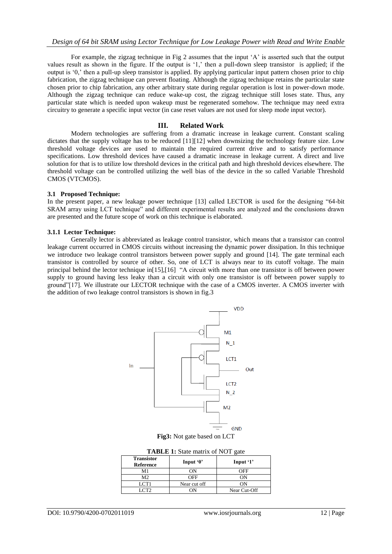For example, the zigzag technique in Fig 2 assumes that the input "A" is asserted such that the output values result as shown in the figure. If the output is "1," then a pull-down sleep transistor is applied; if the output is "0," then a pull-up sleep transistor is applied. By applying particular input pattern chosen prior to chip fabrication, the zigzag technique can prevent floating. Although the zigzag technique retains the particular state chosen prior to chip fabrication, any other arbitrary state during regular operation is lost in power-down mode. Although the zigzag technique can reduce wake-up cost, the zigzag technique still loses state. Thus, any particular state which is needed upon wakeup must be regenerated somehow. The technique may need extra circuitry to generate a specific input vector (in case reset values are not used for sleep mode input vector).

#### **III. Related Work**

Modern technologies are suffering from a dramatic increase in leakage current. Constant scaling dictates that the supply voltage has to be reduced [11][12] when downsizing the technology feature size. Low threshold voltage devices are used to maintain the required current drive and to satisfy performance specifications. Low threshold devices have caused a dramatic increase in leakage current. A direct and live solution for that is to utilize low threshold devices in the critical path and high threshold devices elsewhere. The threshold voltage can be controlled utilizing the well bias of the device in the so called Variable Threshold CMOS (VTCMOS).

#### **3.1 Proposed Technique:**

In the present paper, a new leakage power technique [13] called LECTOR is used for the designing "64-bit SRAM array using LCT technique" and different experimental results are analyzed and the conclusions drawn are presented and the future scope of work on this technique is elaborated.

#### **3.1.1 Lector Technique:**

Generally lector is abbreviated as leakage control transistor, which means that a transistor can control leakage current occurred in CMOS circuits without increasing the dynamic power dissipation. In this technique we introduce two leakage control transistors between power supply and ground [14]. The gate terminal each transistor is controlled by source of other. So, one of LCT is always near to its cutoff voltage. The main principal behind the lector technique in[15],[16] "A circuit with more than one transistor is off between power supply to ground having less leaky than a circuit with only one transistor is off between power supply to ground"[17]. We illustrate our LECTOR technique with the case of a CMOS inverter. A CMOS inverter with the addition of two leakage control transistors is shown in fig.3



**Fig3:** Not gate based on LCT

| <b>TABLE 1:</b> State matrix of NOT gate |
|------------------------------------------|
|------------------------------------------|

| <b>Transistor</b><br><b>Reference</b> | Input $0$    | Input '1'    |
|---------------------------------------|--------------|--------------|
| М1                                    | ΩN           | ∩FF          |
| M2.                                   | JEE          |              |
| I CT1                                 | Near cut off |              |
|                                       |              | Near Cut-Off |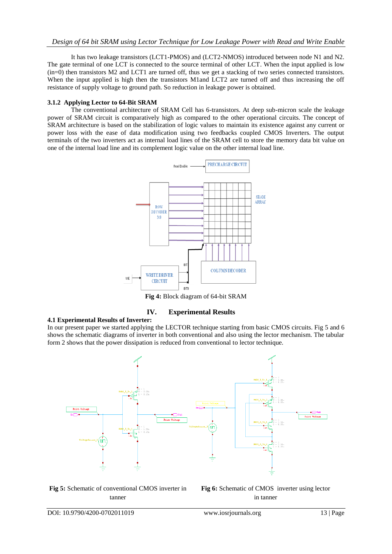### *Design of 64 bit SRAM using Lector Technique for Low Leakage Power with Read and Write Enable*

It has two leakage transistors (LCT1-PMOS) and (LCT2-NMOS) introduced between node N1 and N2. The gate terminal of one LCT is connected to the source terminal of other LCT. When the input applied is low (in=0) then transistors M2 and LCT1 are turned off, thus we get a stacking of two series connected transistors. When the input applied is high then the transistors M1and LCT2 are turned off and thus increasing the off resistance of supply voltage to ground path. So reduction in leakage power is obtained.

#### **3.1.2 Applying Lector to 64-Bit SRAM**

The conventional architecture of SRAM Cell has 6-transistors. At deep sub-micron scale the leakage power of SRAM circuit is comparatively high as compared to the other operational circuits. The concept of SRAM architecture is based on the stabilization of logic values to maintain its existence against any current or power loss with the ease of data modification using two feedbacks coupled CMOS Inverters. The output terminals of the two inverters act as internal load lines of the SRAM cell to store the memory data bit value on one of the internal load line and its complement logic value on the other internal load line.



**Fig 4:** Block diagram of 64-bit SRAM

#### **IV. Experimental Results**

#### **4.1 Experimental Results of Inverter:**

In our present paper we started applying the LECTOR technique starting from basic CMOS circuits. Fig 5 and 6 shows the schematic diagrams of inverter in both conventional and also using the lector mechanism. The tabular form 2 shows that the power dissipation is reduced from conventional to lector technique.



**Fig 5:** Schematic of conventional CMOS inverter in tanner

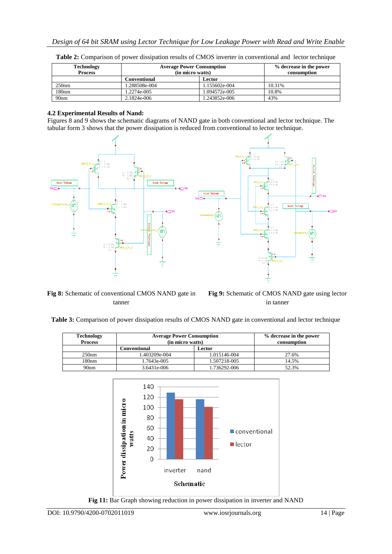| <b>Technology</b><br><b>Process</b> | <b>Average Power Consumption</b><br>(in micro watts) | % decrease in the power<br>consumption |        |
|-------------------------------------|------------------------------------------------------|----------------------------------------|--------|
|                                     | Conventional                                         | Lector                                 |        |
| 250nm                               | .288508e-004                                         | 1.155602e-004                          | 10.31% |
| 180 <sub>nm</sub>                   | 1.2274e-005                                          | 1.094572e-005                          | 10.8%  |
| 90 <sub>nm</sub>                    | 2.1824e-006                                          | l.243852e-006                          | 43%    |

**Table 2:** Comparison of power dissipation results of CMOS inverter in conventional and lector technique

### **4.2 Experimental Results of Nand:**

Figures 8 and 9 shows the schematic diagrams of NAND gate in both conventional and lector technique. The tabular form 3 shows that the power dissipation is reduced from conventional to lector technique.



**Fig 8:** Schematic of conventional CMOS NAND gate in tanner

**Fig 9:** Schematic of CMOS NAND gate using lector in tanner

**Table 3:** Comparison of power dissipation results of CMOS NAND gate in conventional and lector technique

| <b>Technology</b><br><b>Process</b> | <b>Average Power Consumption</b><br>(in micro watts) | % decrease in the power<br>consumption |       |
|-------------------------------------|------------------------------------------------------|----------------------------------------|-------|
|                                     | Conventional<br>Lector                               |                                        |       |
| 250nm                               | 1.403209e-004                                        | 1.015146-004                           | 27.6% |
| 180nm                               | l.7643e-005                                          | 1.507218-005                           | 14.5% |
| 90nm                                | 3.6431e-006                                          | 1.736292-006                           | 52.3% |



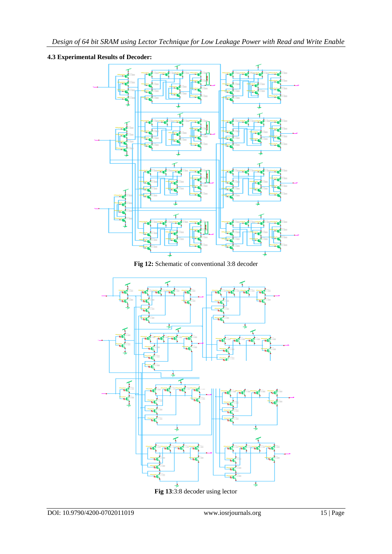## **4.3 Experimental Results of Decoder:**



**Fig 12:** Schematic of conventional 3:8 decoder



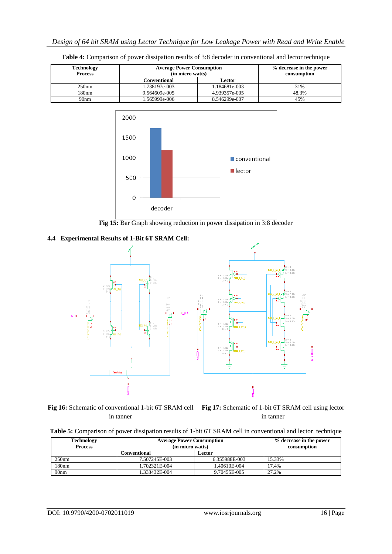| Technology<br><b>Process</b> | <b>Average Power Consumption</b><br>(in micro watts) | % decrease in the power<br>consumption |       |
|------------------------------|------------------------------------------------------|----------------------------------------|-------|
|                              | Conventional<br>Lector                               |                                        |       |
| 250nm                        | 1.738197e-003                                        | 1.184681e-003                          | 31%   |
| 180nm                        | 9.564609e-005                                        | 4.939357e-005                          | 48.3% |
| 90 <sub>nm</sub>             | .565999e-006                                         | 8.546299e-007                          | 45%   |





**Fig 15:** Bar Graph showing reduction in power dissipation in 3:8 decoder

#### **4.4 Experimental Results of 1-Bit 6T SRAM Cell:**



**Fig 16:** Schematic of conventional 1-bit 6T SRAM cell **Fig 17:** Schematic of 1-bit 6T SRAM cell using lector in tanner

in tanner

| <b>Technology</b><br><b>Process</b> | <b>Average Power Consumption</b><br>(in micro watts) | % decrease in the power<br>consumption |        |
|-------------------------------------|------------------------------------------------------|----------------------------------------|--------|
|                                     | C <b>onventional</b><br>Lector                       |                                        |        |
| 250nm                               | 7.507245E-003                                        | 6.355988E-003                          | 15.33% |
| 180nm                               | 1.702321E-004                                        | 1.40610E-004                           | 17.4%  |
| 90 <sub>nm</sub>                    | 1.333432E-004                                        | 9.70455E-005                           | 27.2%  |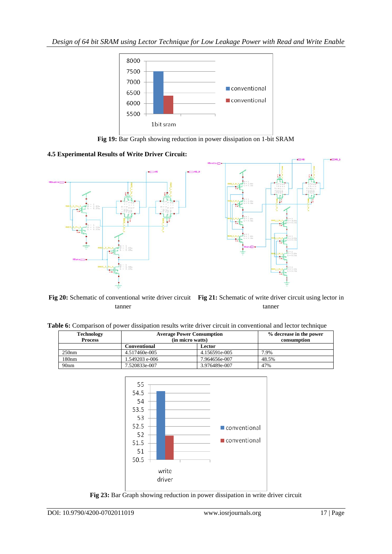

**Fig 19:** Bar Graph showing reduction in power dissipation on 1-bit SRAM

## **4.5 Experimental Results of Write Driver Circuit:**



**Fig 20:** Schematic of conventional write driver circuit Fig 21: Schematic of write driver circuit using lector in tanner tanner

**Table 6:** Comparison of power dissipation results write driver circuit in conventional and lector technique

| <b>Technology</b><br><b>Process</b> | <b>Average Power Consumption</b><br>(in micro watts) | % decrease in the power<br>consumption |       |
|-------------------------------------|------------------------------------------------------|----------------------------------------|-------|
|                                     | Conventional                                         |                                        |       |
| $250$ nm                            | 4.517460e-005                                        | 4.156591e-005                          | 7.9%  |
| 180 <sub>nm</sub>                   | 1.549203 e-006                                       | 7.964656e-007                          | 48.5% |
| 90 <sub>nm</sub>                    | 7.520833e-007                                        | 3.976489e-007                          | 47%   |



**Fig 23:** Bar Graph showing reduction in power dissipation in write driver circuit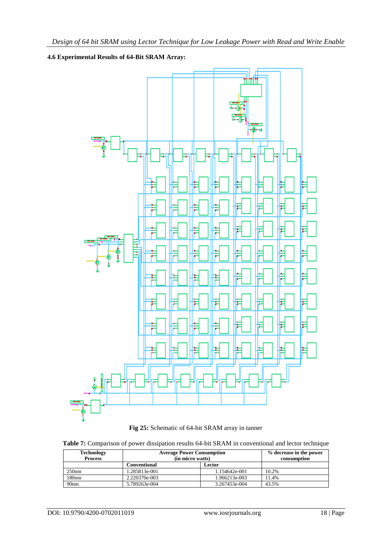## **4.6 Experimental Results of 64-Bit SRAM Array:**





|  |  |  |  | Table 7: Comparison of power dissipation results 64-bit SRAM in conventional and lector technique |  |  |  |  |
|--|--|--|--|---------------------------------------------------------------------------------------------------|--|--|--|--|
|--|--|--|--|---------------------------------------------------------------------------------------------------|--|--|--|--|

| <b>Technology</b><br><b>Process</b> | <b>Average Power Consumption</b><br>(in micro watts) | % decrease in the power<br>consumption |       |
|-------------------------------------|------------------------------------------------------|----------------------------------------|-------|
|                                     | <b>Conventional</b><br>Lector                        |                                        |       |
| 250nm                               | 1.285813e-001                                        | 1.154642e-001                          | 10.2% |
| 180 <sub>nm</sub>                   | 2.220370e-003                                        | 1.966213e-003                          | 11.4% |
| 90 <sub>nm</sub>                    | 5.789263e-004                                        | 3.267453e-004                          | 43.5% |